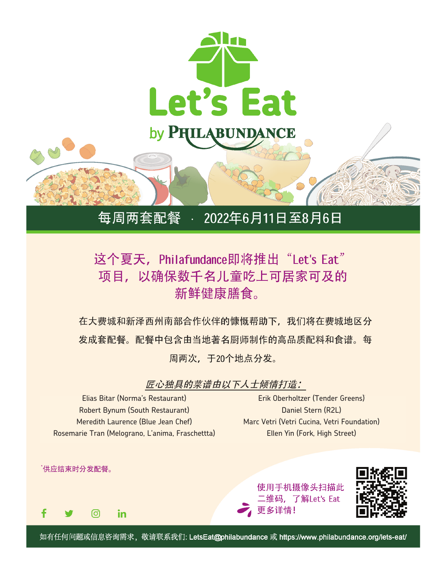

## 每周两套配餐 ○ 2022年6月11日至8月6日

## 这个夏天, Philafundance即将推出"Let's Eat" 项目,以确保数千名儿童吃上可居家可及的 新鲜健康膳食。

在大费城和新泽西州南部合作伙伴的慷慨帮助下,我们将在费城地区分 发成套配餐。配餐中包含由当地著名厨师制作的高品质配料和食谱。每 周两次,于20个地点分发。

匠心独具的菜谱由以下人士倾情打造:

Elias Bitar (Norma's Restaurant) Robert Bynum (South Restaurant) Meredith Laurence (Blue Jean Chef) Rosemarie Tran (Melograno, L'anima, Fraschettta)

Erik Oberholtzer (Tender Greens) Daniel Stern (R2L) Marc Vetri (Vetri Cucina, Vetri Foundation) Ellen Yin (Fork, High Street)



如有任何问题或信息咨询需求, 敬请联系我们: LetsEat@philabundance 或 https://www.philabundance.org/lets-eat/